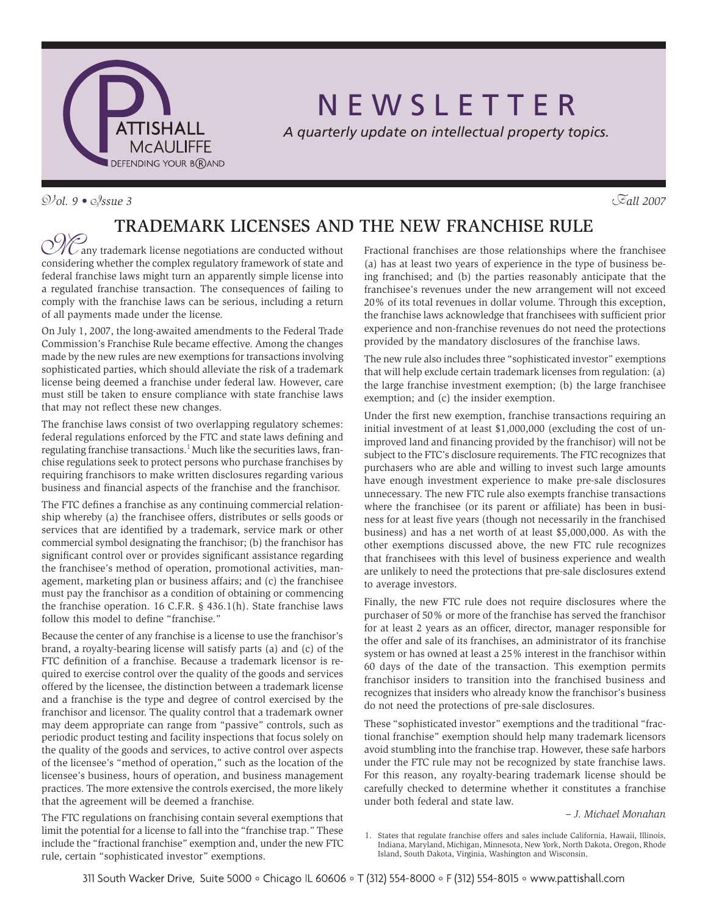

# N E W S L E T T E R

*A quarterly update on intellectual property topics.*

 $\mathcal{D}/\mathcal{O}l$ . 9 •  $\mathcal{O}/\mathcal{S}$ *sue* 3

### Trademark Licenses and the New Franchise Rule

OVC any trademark license negotiations are conducted without considering whether the complex regulatory framework of state and  $\sim$  any trademark license negotiations are conducted without federal franchise laws might turn an apparently simple license into a regulated franchise transaction. The consequences of failing to comply with the franchise laws can be serious, including a return of all payments made under the license.

On July 1, 2007, the long-awaited amendments to the Federal Trade Commission's Franchise Rule became effective. Among the changes made by the new rules are new exemptions for transactions involving sophisticated parties, which should alleviate the risk of a trademark license being deemed a franchise under federal law. However, care must still be taken to ensure compliance with state franchise laws that may not reflect these new changes.

The franchise laws consist of two overlapping regulatory schemes: federal regulations enforced by the FTC and state laws defining and regulating franchise transactions.<sup>1</sup> Much like the securities laws, franchise regulations seek to protect persons who purchase franchises by requiring franchisors to make written disclosures regarding various business and financial aspects of the franchise and the franchisor.

The FTC defines a franchise as any continuing commercial relationship whereby (a) the franchisee offers, distributes or sells goods or services that are identified by a trademark, service mark or other commercial symbol designating the franchisor; (b) the franchisor has significant control over or provides significant assistance regarding the franchisee's method of operation, promotional activities, management, marketing plan or business affairs; and (c) the franchisee must pay the franchisor as a condition of obtaining or commencing the franchise operation. 16 C.F.R. § 436.1(h). State franchise laws follow this model to define "franchise."

Because the center of any franchise is a license to use the franchisor's brand, a royalty-bearing license will satisfy parts (a) and (c) of the FTC definition of a franchise. Because a trademark licensor is required to exercise control over the quality of the goods and services offered by the licensee, the distinction between a trademark license and a franchise is the type and degree of control exercised by the franchisor and licensor. The quality control that a trademark owner may deem appropriate can range from "passive" controls, such as periodic product testing and facility inspections that focus solely on the quality of the goods and services, to active control over aspects of the licensee's "method of operation," such as the location of the licensee's business, hours of operation, and business management practices. The more extensive the controls exercised, the more likely that the agreement will be deemed a franchise.

The FTC regulations on franchising contain several exemptions that limit the potential for a license to fall into the "franchise trap." These include the "fractional franchise" exemption and, under the new FTC rule, certain "sophisticated investor" exemptions.

Fractional franchises are those relationships where the franchisee (a) has at least two years of experience in the type of business being franchised; and (b) the parties reasonably anticipate that the franchisee's revenues under the new arrangement will not exceed 20% of its total revenues in dollar volume. Through this exception, the franchise laws acknowledge that franchisees with sufficient prior experience and non-franchise revenues do not need the protections provided by the mandatory disclosures of the franchise laws.

The new rule also includes three "sophisticated investor" exemptions that will help exclude certain trademark licenses from regulation: (a) the large franchise investment exemption; (b) the large franchisee exemption; and (c) the insider exemption.

Under the first new exemption, franchise transactions requiring an initial investment of at least \$1,000,000 (excluding the cost of unimproved land and financing provided by the franchisor) will not be subject to the FTC's disclosure requirements. The FTC recognizes that purchasers who are able and willing to invest such large amounts have enough investment experience to make pre-sale disclosures unnecessary. The new FTC rule also exempts franchise transactions where the franchisee (or its parent or affiliate) has been in business for at least five years (though not necessarily in the franchised business) and has a net worth of at least \$5,000,000. As with the other exemptions discussed above, the new FTC rule recognizes that franchisees with this level of business experience and wealth are unlikely to need the protections that pre-sale disclosures extend to average investors.

Finally, the new FTC rule does not require disclosures where the purchaser of 50% or more of the franchise has served the franchisor for at least 2 years as an officer, director, manager responsible for the offer and sale of its franchises, an administrator of its franchise system or has owned at least a 25% interest in the franchisor within 60 days of the date of the transaction. This exemption permits franchisor insiders to transition into the franchised business and recognizes that insiders who already know the franchisor's business do not need the protections of pre-sale disclosures.

These "sophisticated investor" exemptions and the traditional "fractional franchise" exemption should help many trademark licensors avoid stumbling into the franchise trap. However, these safe harbors under the FTC rule may not be recognized by state franchise laws. For this reason, any royalty-bearing trademark license should be carefully checked to determine whether it constitutes a franchise under both federal and state law.

*– J. Michael Monahan*

<sup>1.</sup> States that regulate franchise offers and sales include California, Hawaii, Illinois, Indiana, Maryland, Michigan, Minnesota, New York, North Dakota, Oregon, Rhode Island, South Dakota, Virginia, Washington and Wisconsin.